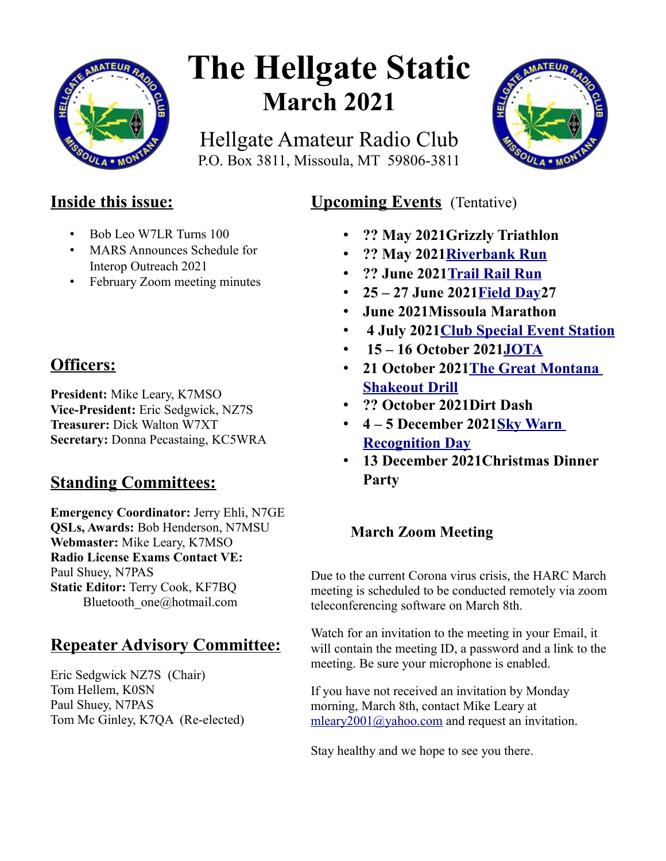

# **The Hellgate Static March 2021**

Hellgate Amateur Radio Club P.O. Box 3811, Missoula, MT 59806-3811



# **Inside this issue:**

- Bob Leo W7LR Turns 100
- MARS Announces Schedule for Interop Outreach 2021
- February Zoom meeting minutes

# **Officers:**

**President:** Mike Leary, K7MSO **Vice-President:** Eric Sedgwick, NZ7S **Treasurer:** Dick Walton W7XT **Secretary:** Donna Pecastaing, KC5WRA

# **Standing Committees:**

**Emergency Coordinator:** Jerry Ehli, N7GE **QSLs, Awards:** Bob Henderson, N7MSU **Webmaster:** Mike Leary, K7MSO **Radio License Exams Contact VE:** Paul Shuey, N7PAS **Static Editor:** Terry Cook, KF7BQ Bluetooth\_one@hotmail.com

# **Repeater Advisory Committee:**

Eric Sedgwick NZ7S (Chair) Tom Hellem, K0SN Paul Shuey, N7PAS Tom Mc Ginley, K7QA (Re-elected)

## **Upcoming Events** (Tentative)

- **?? May 2021Grizzly Triathlon**
- **?? May 202[1Riverbank Run](https://www.w7px.org/meetings-and-events/#riverbank-run)**
- **?? June 202[1 Trail Rail Run](https://runsignup.com/Race/MT/StRegis/TrailRailRun)**
- **25 27 June 202[1Field Day2](https://www.w7px.org/meetings-and-events/#field-day)7**
- **June 2021Missoula Marathon**
- • **4 July 202[1Club Special Event Station](https://www.w7px.org/meetings-and-events/#fourth-of-july)**
- • **15 16 October 202[1JOTA](https://www.w7px.org/meetings-and-events/#jota)**
- **21 October 202[1The Great Montana](https://www.w7px.org/meetings-and-events/#shakeout)  [Shakeout Drill](https://www.w7px.org/meetings-and-events/#shakeout)**
- **?? October 2021Dirt Dash**
- **4 5 December 202[1Sky Warn](http://www.arrl.org/skywarn-recognition-day)  [Recognition Day](http://www.arrl.org/skywarn-recognition-day)**
- **13 December 2021Christmas Dinner Party**

## **March Zoom Meeting**

Due to the current Corona virus crisis, the HARC March meeting is scheduled to be conducted remotely via zoom teleconferencing software on March 8th.

Watch for an invitation to the meeting in your Email, it will contain the meeting ID, a password and a link to the meeting. Be sure your microphone is enabled.

If you have not received an invitation by Monday morning, March 8th, contact Mike Leary at [mleary2001@yahoo.com](mailto:mleary2001@yahoo.com) and request an invitation.

Stay healthy and we hope to see you there.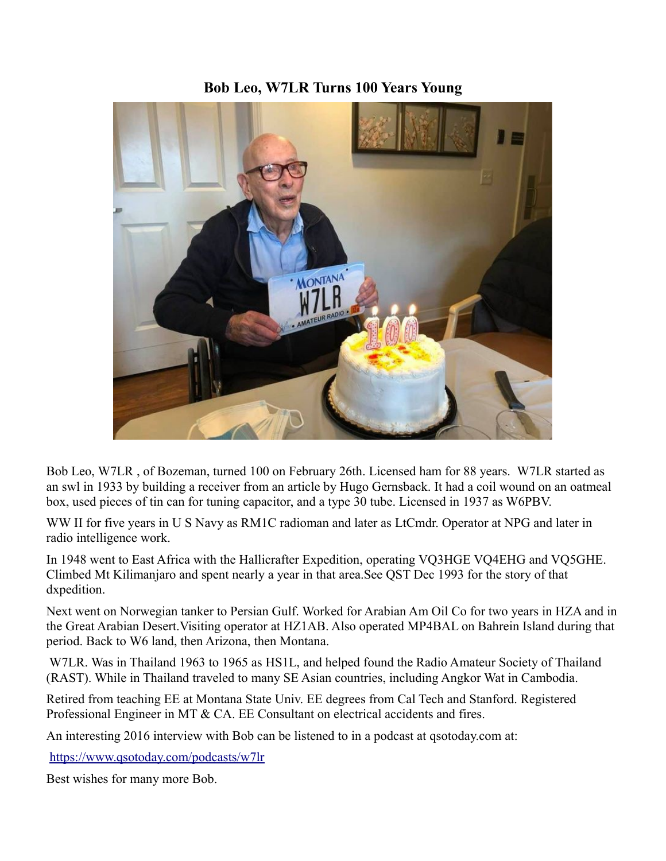### **Bob Leo, W7LR Turns 100 Years Young**



Bob Leo, W7LR , of Bozeman, turned 100 on February 26th. Licensed ham for 88 years. W7LR started as an swl in 1933 by building a receiver from an article by Hugo Gernsback. It had a coil wound on an oatmeal box, used pieces of tin can for tuning capacitor, and a type 30 tube. Licensed in 1937 as W6PBV.

WW II for five years in U S Navy as RM1C radioman and later as LtCmdr. Operator at NPG and later in radio intelligence work.

In 1948 went to East Africa with the Hallicrafter Expedition, operating VQ3HGE VQ4EHG and VQ5GHE. Climbed Mt Kilimanjaro and spent nearly a year in that area.See QST Dec 1993 for the story of that dxpedition.

Next went on Norwegian tanker to Persian Gulf. Worked for Arabian Am Oil Co for two years in HZA and in the Great Arabian Desert.Visiting operator at HZ1AB. Also operated MP4BAL on Bahrein Island during that period. Back to W6 land, then Arizona, then Montana.

 W7LR. Was in Thailand 1963 to 1965 as HS1L, and helped found the Radio Amateur Society of Thailand (RAST). While in Thailand traveled to many SE Asian countries, including Angkor Wat in Cambodia.

Retired from teaching EE at Montana State Univ. EE degrees from Cal Tech and Stanford. Registered Professional Engineer in MT & CA. EE Consultant on electrical accidents and fires.

An interesting 2016 interview with Bob can be listened to in a podcast at qsotoday.com at:

<https://www.qsotoday.com/podcasts/w7lr>

Best wishes for many more Bob.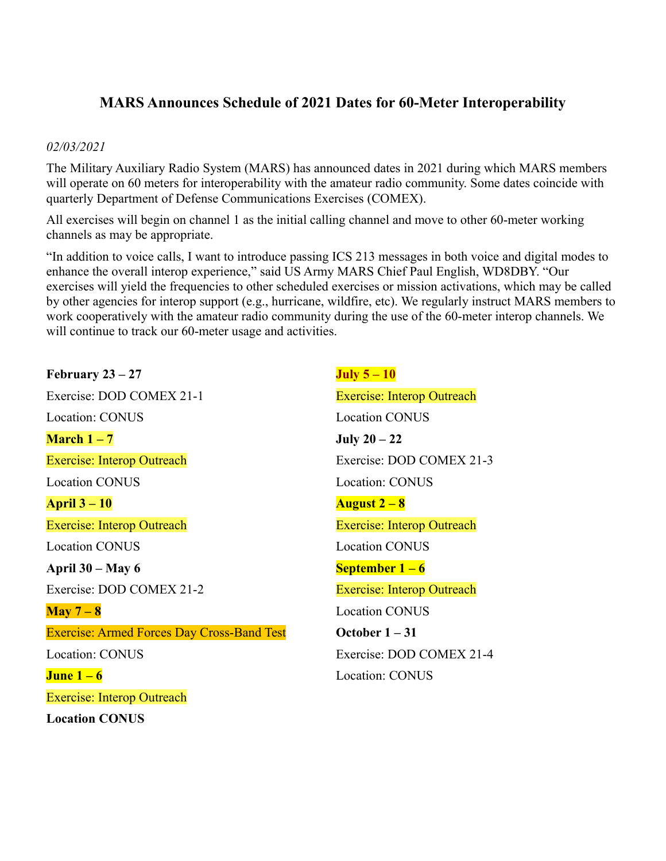### **MARS Announces Schedule of 2021 Dates for 60-Meter Interoperability**

#### *02/03/2021*

The Military Auxiliary Radio System (MARS) has announced dates in 2021 during which MARS members will operate on 60 meters for interoperability with the amateur radio community. Some dates coincide with quarterly Department of Defense Communications Exercises (COMEX).

All exercises will begin on channel 1 as the initial calling channel and move to other 60-meter working channels as may be appropriate.

"In addition to voice calls, I want to introduce passing ICS 213 messages in both voice and digital modes to enhance the overall interop experience," said US Army MARS Chief Paul English, WD8DBY. "Our exercises will yield the frequencies to other scheduled exercises or mission activations, which may be called by other agencies for interop support (e.g., hurricane, wildfire, etc). We regularly instruct MARS members to work cooperatively with the amateur radio community during the use of the 60-meter interop channels. We will continue to track our 60-meter usage and activities.

**February 23 – 27** Exercise: DOD COMEX 21-1 Location: CONUS **March 1 – 7** Exercise: Interop Outreach Location CONUS **April 3 – 10** Exercise: Interop Outreach Location CONUS **April 30 – May 6** Exercise: DOD COMEX 21-2 **May 7 – 8** Exercise: Armed Forces Day Cross-Band Test Location: CONUS **June 1 – 6** Exercise: Interop Outreach **Location CONUS**

**July 5 – 10** Exercise: Interop Outreach Location CONUS **July 20 – 22** Exercise: DOD COMEX 21-3 Location: CONUS **August 2 – 8** Exercise: Interop Outreach Location CONUS **September 1 – 6** Exercise: Interop Outreach Location CONUS **October 1 – 31** Exercise: DOD COMEX 21-4 Location: CONUS